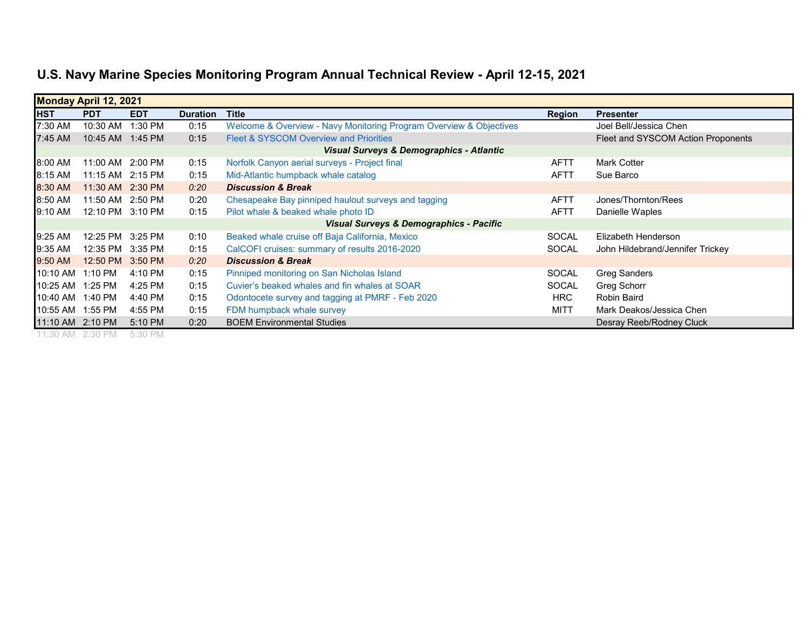| <b>Monday April 12, 2021</b> |                  |            |                 |                                                                    |              |                                    |  |
|------------------------------|------------------|------------|-----------------|--------------------------------------------------------------------|--------------|------------------------------------|--|
| <b>HST</b>                   | <b>PDT</b>       | <b>EDT</b> | <b>Duration</b> | <b>Title</b>                                                       | Region       | <b>Presenter</b>                   |  |
| 7:30 AM                      | 10:30 AM         | 1:30 PM    | 0:15            | Welcome & Overview - Navy Monitoring Program Overview & Objectives |              | Joel Bell/Jessica Chen             |  |
| 7:45 AM                      | 10:45 AM         | 1:45 PM    | 0:15            | <b>Fleet &amp; SYSCOM Overview and Priorities</b>                  |              | Fleet and SYSCOM Action Proponents |  |
|                              |                  |            |                 | <b>Visual Surveys &amp; Demographics - Atlantic</b>                |              |                                    |  |
| 8:00 AM                      | 11:00 AM         | $2:00$ PM  | 0:15            | Norfolk Canyon aerial surveys - Project final                      | <b>AFTT</b>  | <b>Mark Cotter</b>                 |  |
| 8:15 AM                      | 11:15 AM         | 2:15 PM    | 0:15            | Mid-Atlantic humpback whale catalog                                | <b>AFTT</b>  | Sue Barco                          |  |
| 8:30 AM                      | 11:30 AM 2:30 PM |            | 0:20            | <b>Discussion &amp; Break</b>                                      |              |                                    |  |
| 8:50 AM                      | 11:50 AM 2:50 PM |            | 0:20            | Chesapeake Bay pinniped haulout surveys and tagging                | <b>AFTT</b>  | Jones/Thornton/Rees                |  |
| 9:10 AM                      | 12:10 PM 3:10 PM |            | 0:15            | Pilot whale & beaked whale photo ID                                | <b>AFTT</b>  | Danielle Waples                    |  |
|                              |                  |            |                 | <b>Visual Surveys &amp; Demographics - Pacific</b>                 |              |                                    |  |
| 9:25 AM                      | 12:25 PM         | 3:25 PM    | 0:10            | Beaked whale cruise off Baja California, Mexico                    | <b>SOCAL</b> | Elizabeth Henderson                |  |
| 9:35 AM                      | 12:35 PM         | 3:35 PM    | 0:15            | CalCOFI cruises: summary of results 2016-2020                      | <b>SOCAL</b> | John Hildebrand/Jennifer Trickey   |  |
| 9:50 AM                      | 12:50 PM         | 3:50 PM    | 0:20            | <b>Discussion &amp; Break</b>                                      |              |                                    |  |
| 10:10 AM                     | 1:10 PM          | 4:10 PM    | 0:15            | Pinniped monitoring on San Nicholas Island                         | <b>SOCAL</b> | <b>Greg Sanders</b>                |  |
| 10:25 AM                     | 1:25 PM          | 4:25 PM    | 0:15            | Cuvier's beaked whales and fin whales at SOAR                      | <b>SOCAL</b> | Greg Schorr                        |  |
| 10:40 AM                     | 1:40 PM          | 4:40 PM    | 0:15            | Odontocete survey and tagging at PMRF - Feb 2020                   | HRC          | Robin Baird                        |  |
| 10:55 AM                     | 1:55 PM          | 4:55 PM    | 0:15            | FDM humpback whale survey                                          | <b>MITT</b>  | Mark Deakos/Jessica Chen           |  |
| 11:10 AM 2:10 PM             |                  | 5:10 PM    | 0:20            | <b>BOEM Environmental Studies</b>                                  |              | Desray Reeb/Rodney Cluck           |  |

11:30 AM 2:30 PM 5:30 PM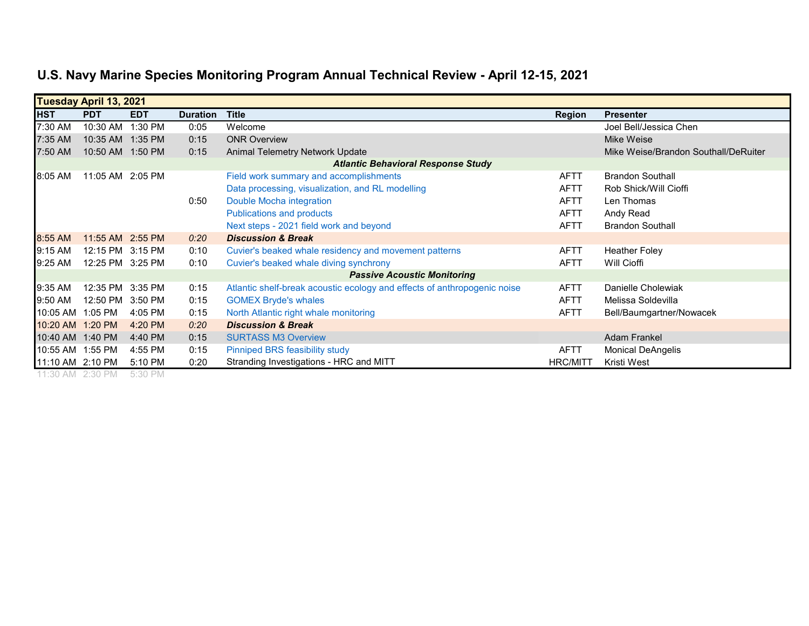| <b>Tuesday April 13, 2021</b> |                                           |            |                 |                                                                          |                 |                                      |  |  |  |
|-------------------------------|-------------------------------------------|------------|-----------------|--------------------------------------------------------------------------|-----------------|--------------------------------------|--|--|--|
| <b>HST</b>                    | <b>PDT</b>                                | <b>EDT</b> | <b>Duration</b> | <b>Title</b>                                                             | <b>Region</b>   | <b>Presenter</b>                     |  |  |  |
| 7:30 AM                       | 10:30 AM                                  | 1:30 PM    | 0:05            | Welcome                                                                  |                 | Joel Bell/Jessica Chen               |  |  |  |
| 7:35 AM                       | 10:35 AM                                  | 1:35 PM    | 0:15            | <b>ONR Overview</b>                                                      |                 | Mike Weise                           |  |  |  |
| 7:50 AM                       | 10:50 AM 1:50 PM                          |            | 0:15            | Animal Telemetry Network Update                                          |                 | Mike Weise/Brandon Southall/DeRuiter |  |  |  |
|                               | <b>Atlantic Behavioral Response Study</b> |            |                 |                                                                          |                 |                                      |  |  |  |
| 8:05 AM                       | 11:05 AM 2:05 PM                          |            |                 | Field work summary and accomplishments                                   | <b>AFTT</b>     | <b>Brandon Southall</b>              |  |  |  |
|                               |                                           |            |                 | Data processing, visualization, and RL modelling                         | <b>AFTT</b>     | Rob Shick/Will Cioffi                |  |  |  |
|                               |                                           |            | 0:50            | Double Mocha integration                                                 | <b>AFTT</b>     | Len Thomas                           |  |  |  |
|                               |                                           |            |                 | <b>Publications and products</b>                                         | <b>AFTT</b>     | Andy Read                            |  |  |  |
|                               |                                           |            |                 | Next steps - 2021 field work and beyond                                  | <b>AFTT</b>     | <b>Brandon Southall</b>              |  |  |  |
| 8:55 AM                       | 11:55 AM 2:55 PM                          |            | 0:20            | <b>Discussion &amp; Break</b>                                            |                 |                                      |  |  |  |
| 9:15 AM                       | 12:15 PM 3:15 PM                          |            | 0:10            | Cuvier's beaked whale residency and movement patterns                    | <b>AFTT</b>     | <b>Heather Foley</b>                 |  |  |  |
| 9:25 AM                       | 12:25 PM 3:25 PM                          |            | 0:10            | Cuvier's beaked whale diving synchrony                                   | <b>AFTT</b>     | Will Cioffi                          |  |  |  |
|                               | <b>Passive Acoustic Monitoring</b>        |            |                 |                                                                          |                 |                                      |  |  |  |
| 9:35 AM                       | 12:35 PM 3:35 PM                          |            | 0:15            | Atlantic shelf-break acoustic ecology and effects of anthropogenic noise | <b>AFTT</b>     | Danielle Cholewiak                   |  |  |  |
| 9:50 AM                       | 12:50 PM                                  | 3:50 PM    | 0:15            | <b>GOMEX Bryde's whales</b>                                              | <b>AFTT</b>     | Melissa Soldevilla                   |  |  |  |
| 10:05 AM 1:05 PM              |                                           | 4:05 PM    | 0:15            | North Atlantic right whale monitoring                                    | <b>AFTT</b>     | Bell/Baumgartner/Nowacek             |  |  |  |
| 10:20 AM                      | 1:20 PM                                   | 4:20 PM    | 0:20            | <b>Discussion &amp; Break</b>                                            |                 |                                      |  |  |  |
| 10:40 AM 1:40 PM              |                                           | 4:40 PM    | 0:15            | <b>SURTASS M3 Overview</b>                                               |                 | <b>Adam Frankel</b>                  |  |  |  |
| 10:55 AM 1:55 PM              |                                           | 4:55 PM    | 0:15            | Pinniped BRS feasibility study                                           | <b>AFTT</b>     | <b>Monical DeAngelis</b>             |  |  |  |
| 11:10 AM 2:10 PM              |                                           | 5:10 PM    | 0:20            | Stranding Investigations - HRC and MITT                                  | <b>HRC/MITT</b> | Kristi West                          |  |  |  |

11:30 AM 2:30 PM 5:30 PM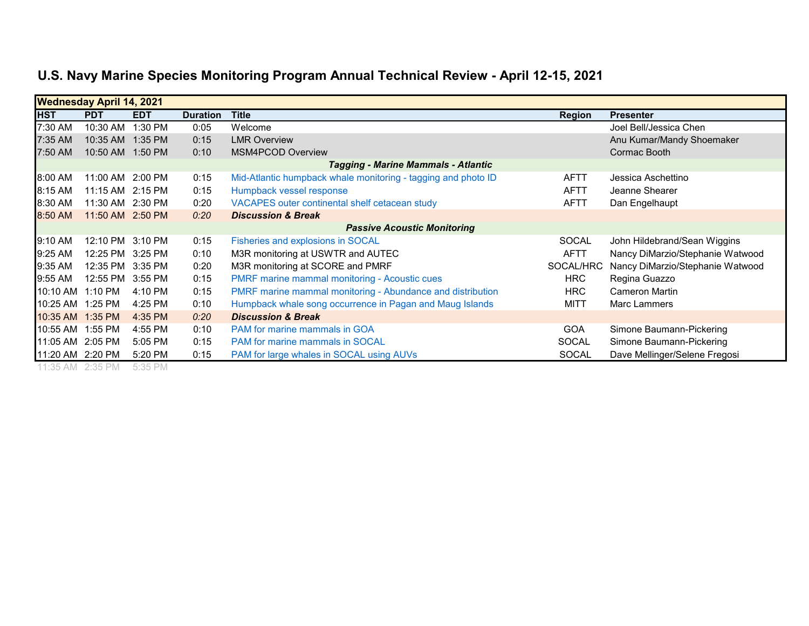| <b>Wednesday April 14, 2021</b> |                                            |            |                 |                                                               |               |                                  |  |  |
|---------------------------------|--------------------------------------------|------------|-----------------|---------------------------------------------------------------|---------------|----------------------------------|--|--|
| <b>HST</b>                      | <b>PDT</b>                                 | <b>EDT</b> | <b>Duration</b> | <b>Title</b>                                                  | <b>Region</b> | <b>Presenter</b>                 |  |  |
| 7:30 AM                         | 10:30 AM                                   | 1:30 PM    | 0:05            | Welcome                                                       |               | Joel Bell/Jessica Chen           |  |  |
| 7:35 AM                         | 10:35 AM                                   | 1:35 PM    | 0:15            | <b>LMR Overview</b>                                           |               | Anu Kumar/Mandy Shoemaker        |  |  |
| 7:50 AM                         | 10:50 AM 1:50 PM                           |            | 0:10            | <b>MSM4PCOD Overview</b>                                      |               | Cormac Booth                     |  |  |
|                                 | <b>Tagging - Marine Mammals - Atlantic</b> |            |                 |                                                               |               |                                  |  |  |
| 8:00 AM                         | 11:00 AM                                   | 2:00 PM    | 0:15            | Mid-Atlantic humpback whale monitoring - tagging and photo ID | <b>AFTT</b>   | Jessica Aschettino               |  |  |
| 8:15 AM                         | 11:15 AM                                   | 2:15 PM    | 0:15            | Humpback vessel response                                      | <b>AFTT</b>   | Jeanne Shearer                   |  |  |
| 8:30 AM                         | 11:30 AM 2:30 PM                           |            | 0:20            | VACAPES outer continental shelf cetacean study                | <b>AFTT</b>   | Dan Engelhaupt                   |  |  |
| 8:50 AM                         | 11:50 AM 2:50 PM                           |            | 0:20            | <b>Discussion &amp; Break</b>                                 |               |                                  |  |  |
|                                 |                                            |            |                 | <b>Passive Acoustic Monitoring</b>                            |               |                                  |  |  |
| 9:10 AM                         | 12:10 PM                                   | 3:10 PM    | 0:15            | Fisheries and explosions in SOCAL                             | <b>SOCAL</b>  | John Hildebrand/Sean Wiggins     |  |  |
| 9:25 AM                         | 12:25 PM                                   | 3:25 PM    | 0:10            | M3R monitoring at USWTR and AUTEC                             | <b>AFTT</b>   | Nancy DiMarzio/Stephanie Watwood |  |  |
| 9:35 AM                         | 12:35 PM                                   | 3:35 PM    | 0:20            | M3R monitoring at SCORE and PMRF                              | SOCAL/HRC     | Nancy DiMarzio/Stephanie Watwood |  |  |
| 9:55 AM                         | 12:55 PM                                   | 3:55 PM    | 0:15            | <b>PMRF marine mammal monitoring - Acoustic cues</b>          | <b>HRC</b>    | Regina Guazzo                    |  |  |
| 10:10 AM                        | 1:10 PM                                    | 4:10 PM    | 0:15            | PMRF marine mammal monitoring - Abundance and distribution    | <b>HRC</b>    | <b>Cameron Martin</b>            |  |  |
| 10:25 AM                        | 1:25 PM                                    | 4:25 PM    | 0:10            | Humpback whale song occurrence in Pagan and Maug Islands      | <b>MITT</b>   | Marc Lammers                     |  |  |
| 10:35 AM 1:35 PM                |                                            | 4:35 PM    | 0:20            | <b>Discussion &amp; Break</b>                                 |               |                                  |  |  |
| 10:55 AM                        | 1:55 PM                                    | 4:55 PM    | 0:10            | PAM for marine mammals in GOA                                 | <b>GOA</b>    | Simone Baumann-Pickering         |  |  |
| 11:05 AM 2:05 PM                |                                            | 5:05 PM    | 0:15            | <b>PAM for marine mammals in SOCAL</b>                        | <b>SOCAL</b>  | Simone Baumann-Pickering         |  |  |
| 11:20 AM 2:20 PM                |                                            | 5:20 PM    | 0:15            | PAM for large whales in SOCAL using AUVs                      | <b>SOCAL</b>  | Dave Mellinger/Selene Fregosi    |  |  |
|                                 |                                            |            |                 |                                                               |               |                                  |  |  |

11:35 AM 2:35 PM 5:35 PM